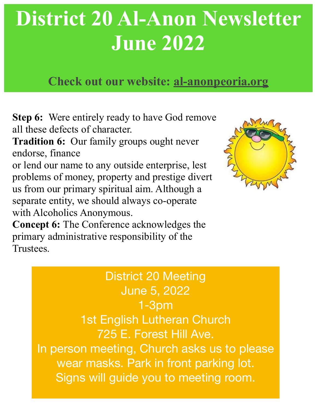# **District 20 Al-Anon Newsletter June 2022**

## **Check out our website: al-anonpeoria.org**

**Step 6:** Were entirely ready to have God remove all these defects of character.

**Tradition 6:** Our family groups ought never endorse, finance

or lend our name to any outside enterprise, lest problems of money, property and prestige divert us from our primary spiritual aim. Although a separate entity, we should always co-operate with Alcoholics Anonymous.



**Concept 6:** The Conference acknowledges the primary administrative responsibility of the Trustees.

# District 20 Meeting June 5, 2022 1-3pm 1st English Lutheran Church 725 E. Forest Hill Ave.

In person meeting, Church asks us to please wear masks. Park in front parking lot. Signs will guide you to meeting room.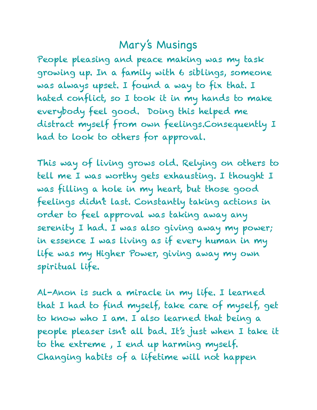#### Mary's Musings

People pleasing and peace making was my task growing up. In a family with 6 siblings, someone was always upset. I found a way to fix that. I hated conflict, so I took it in my hands to make everybody feel good. Doing this helped me distract myself from own feelings.Consequently I had to look to others for approval.

This way of living grows old. Relying on others to tell me I was worthy gets exhausting. I thought I was filling a hole in my heart, but those good feelings didn't last. Constantly taking actions in order to feel approval was taking away any serenity I had. I was also giving away my power; in essence I was living as if every human in my life was my Higher Power, giving away my own spiritual life.

Al-Anon is such a miracle in my life. I learned that I had to find myself, take care of myself, get to know who I am. I also learned that being a people pleaser isn't all bad. It's just when I take it to the extreme , I end up harming myself. Changing habits of a lifetime will not happen